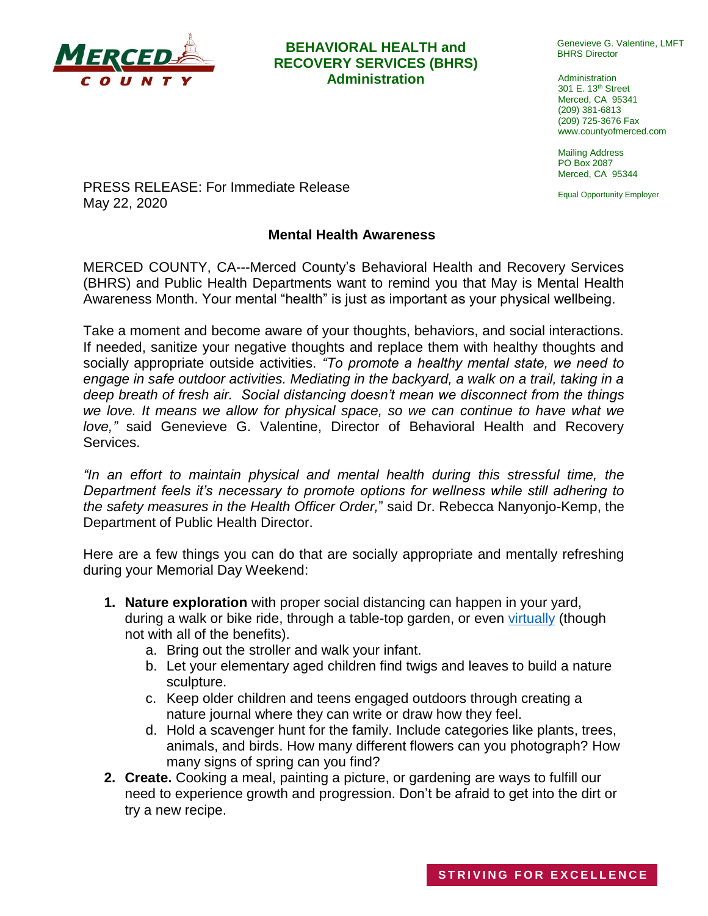

## **BEHAVIORAL HEALTH and RECOVERY SERVICES (BHRS) Administration Administration**

Genevieve G. Valentine, LMFT BHRS Director

301 E. 13th Street Merced, CA 95341 (209) 381-6813 (209) 725-3676 Fax www.countyofmerced.com

Mailing Address PO Box 2087 Merced, CA 95344

Equal Opportunity Employer

PRESS RELEASE: For Immediate Release May 22, 2020

## **Mental Health Awareness**

MERCED COUNTY, CA---Merced County's Behavioral Health and Recovery Services (BHRS) and Public Health Departments want to remind you that May is Mental Health Awareness Month. Your mental "health" is just as important as your physical wellbeing.

Take a moment and become aware of your thoughts, behaviors, and social interactions. If needed, sanitize your negative thoughts and replace them with healthy thoughts and socially appropriate outside activities. *"To promote a healthy mental state, we need to*  engage in safe outdoor activities. Mediating in the backyard, a walk on a trail, taking in a *deep breath of fresh air. Social distancing doesn't mean we disconnect from the things we love. It means we allow for physical space, so we can continue to have what we love,"* said Genevieve G. Valentine, Director of Behavioral Health and Recovery Services.

*"In an effort to maintain physical and mental health during this stressful time, the Department feels it's necessary to promote options for wellness while still adhering to the safety measures in the Health Officer Order,*" said Dr. Rebecca Nanyonjo-Kemp, the Department of Public Health Director.

Here are a few things you can do that are socially appropriate and mentally refreshing during your Memorial Day Weekend:

- **1. Nature exploration** with proper social distancing can happen in your yard, during a walk or bike ride, through a table-top garden, or even [virtually](https://www.nps.gov/nature/photosmultimedia.htm) (though not with all of the benefits).
	- a. Bring out the stroller and walk your infant.
	- b. Let your elementary aged children find twigs and leaves to build a nature sculpture.
	- c. Keep older children and teens engaged outdoors through creating a nature journal where they can write or draw how they feel.
	- d. Hold a scavenger hunt for the family. Include categories like plants, trees, animals, and birds. How many different flowers can you photograph? How many signs of spring can you find?
- **2. Create.** Cooking a meal, painting a picture, or gardening are ways to fulfill our need to experience growth and progression. Don't be afraid to get into the dirt or try a new recipe.